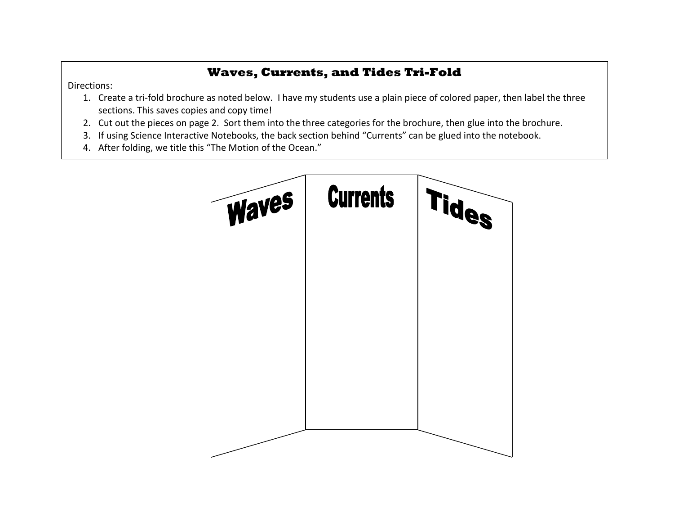## **Waves, Currents, and Tides Tri-Fold**

Directions:

- 1. Create a tri-fold brochure as noted below. I have my students use a plain piece of colored paper, then label the three sections. This saves copies and copy time!
- 2. Cut out the pieces on page 2. Sort them into the three categories for the brochure, then glue into the brochure.
- 3. If using Science Interactive Notebooks, the back section behind "Currents" can be glued into the notebook.
- 4. After folding, we title this "The Motion of the Ocean."

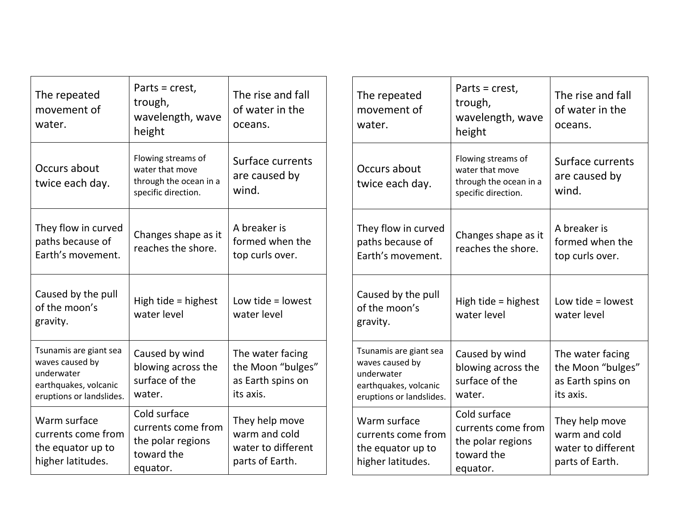| The repeated<br>movement of<br>water.                                                                        | Parts = crest,<br>trough,<br>wavelength, wave<br>height                                | The rise and fall<br>of water in the<br>oceans.                          | The repeated<br>movement of<br>water.                                                                        | Parts = crest,<br>trough,<br>wavelength, wave<br>height                                | The rise and fall<br>of water in the<br>oceans.                          |
|--------------------------------------------------------------------------------------------------------------|----------------------------------------------------------------------------------------|--------------------------------------------------------------------------|--------------------------------------------------------------------------------------------------------------|----------------------------------------------------------------------------------------|--------------------------------------------------------------------------|
| Occurs about<br>twice each day.                                                                              | Flowing streams of<br>water that move<br>through the ocean in a<br>specific direction. | Surface currents<br>are caused by<br>wind.                               | Occurs about<br>twice each day.                                                                              | Flowing streams of<br>water that move<br>through the ocean in a<br>specific direction. | Surface currents<br>are caused by<br>wind.                               |
| They flow in curved<br>paths because of<br>Earth's movement.                                                 | Changes shape as it<br>reaches the shore.                                              | A breaker is<br>formed when the<br>top curls over.                       | They flow in curved<br>paths because of<br>Earth's movement.                                                 | Changes shape as it<br>reaches the shore.                                              | A breaker is<br>formed when the<br>top curls over.                       |
| Caused by the pull<br>of the moon's<br>gravity.                                                              | High tide = highest<br>water level                                                     | Low tide $=$ lowest<br>water level                                       | Caused by the pull<br>of the moon's<br>gravity.                                                              | High tide = highest<br>water level                                                     | Low tide $=$ lowest<br>water level                                       |
| Tsunamis are giant sea<br>waves caused by<br>underwater<br>earthquakes, volcanic<br>eruptions or landslides. | Caused by wind<br>blowing across the<br>surface of the<br>water.                       | The water facing<br>the Moon "bulges"<br>as Earth spins on<br>its axis.  | Tsunamis are giant sea<br>waves caused by<br>underwater<br>earthquakes, volcanic<br>eruptions or landslides. | Caused by wind<br>blowing across the<br>surface of the<br>water.                       | The water facing<br>the Moon "bulges"<br>as Earth spins on<br>its axis.  |
| Warm surface<br>currents come from<br>the equator up to<br>higher latitudes.                                 | Cold surface<br>currents come from<br>the polar regions<br>toward the<br>equator.      | They help move<br>warm and cold<br>water to different<br>parts of Earth. | Warm surface<br>currents come from<br>the equator up to<br>higher latitudes.                                 | Cold surface<br>currents come from<br>the polar regions<br>toward the<br>equator.      | They help move<br>warm and cold<br>water to different<br>parts of Earth. |